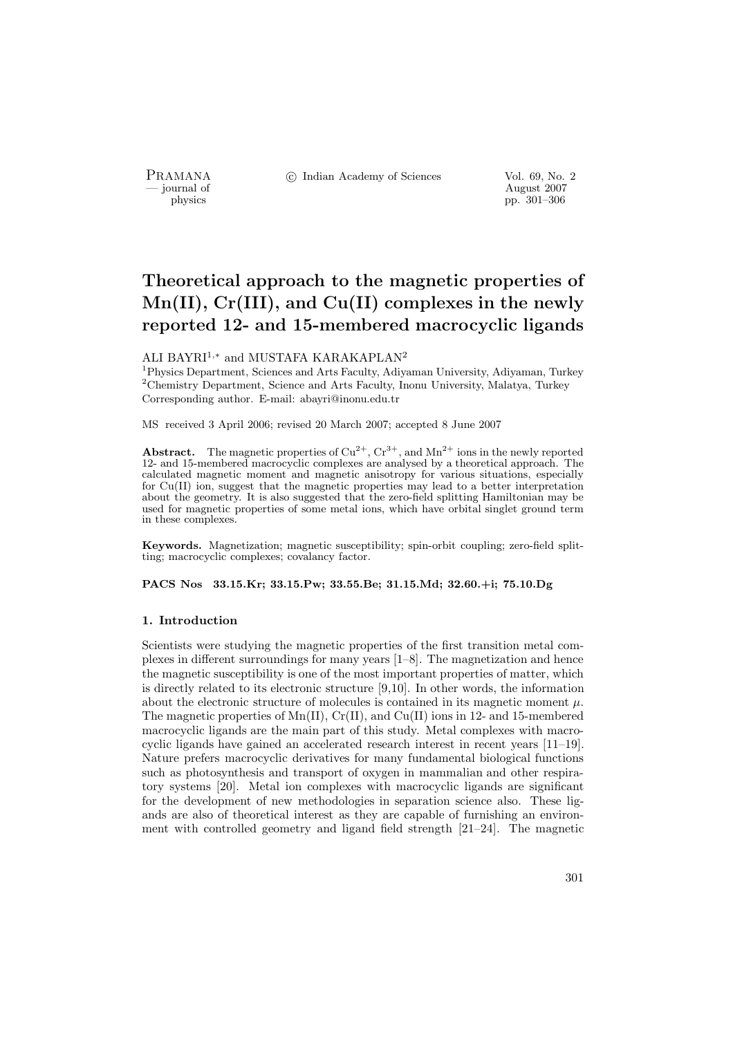PRAMANA<br>
— journal of

c Indian Academy of Sciences Vol. 69, No. 2

Proposition of the contract of the contract of the contract of the contract of the contract of the contract of the contract of the contract of the contract of the contract of the contract of the contract of the contract of physics pp. 301–306

# **Theoretical approach to the magnetic properties of Mn(II), Cr(III), and Cu(II) complexes in the newly reported 12- and 15-membered macrocyclic ligands**

## ALI BAYRI<sup>1,∗</sup> and MUSTAFA KARAKAPLAN<sup>2</sup>

<sup>1</sup>Physics Department, Sciences and Arts Faculty, Adiyaman University, Adiyaman, Turkey  $2$ Chemistry Department, Science and Arts Faculty, Inonu University, Malatya, Turkey Corresponding author. E-mail: abayri@inonu.edu.tr

MS received 3 April 2006; revised 20 March 2007; accepted 8 June 2007

**Abstract.** The magnetic properties of  $Cu^{2+}$ ,  $Cr^{3+}$ , and  $Mn^{2+}$  ions in the newly reported 12- and 15-membered macrocyclic complexes are analysed by a theoretical approach. The calculated magnetic moment and magnetic anisotropy for various situations, especially for Cu(II) ion, suggest that the magnetic properties may lead to a better interpretation about the geometry. It is also suggested that the zero-field splitting Hamiltonian may be used for magnetic properties of some metal ions, which have orbital singlet ground term in these complexes.

**Keywords.** Magnetization; magnetic susceptibility; spin-orbit coupling; zero-field splitting; macrocyclic complexes; covalancy factor.

**PACS Nos 33.15.Kr; 33.15.Pw; 33.55.Be; 31.15.Md; 32.60.+i; 75.10.Dg**

#### **1. Introduction**

Scientists were studying the magnetic properties of the first transition metal complexes in different surroundings for many years [1–8]. The magnetization and hence the magnetic susceptibility is one of the most important properties of matter, which is directly related to its electronic structure [9,10]. In other words, the information about the electronic structure of molecules is contained in its magnetic moment  $\mu$ . The magnetic properties of  $Mn(II)$ ,  $Cr(II)$ , and  $Cu(II)$  ions in 12- and 15-membered macrocyclic ligands are the main part of this study. Metal complexes with macrocyclic ligands have gained an accelerated research interest in recent years [11–19]. Nature prefers macrocyclic derivatives for many fundamental biological functions such as photosynthesis and transport of oxygen in mammalian and other respiratory systems [20]. Metal ion complexes with macrocyclic ligands are significant for the development of new methodologies in separation science also. These ligands are also of theoretical interest as they are capable of furnishing an environment with controlled geometry and ligand field strength [21–24]. The magnetic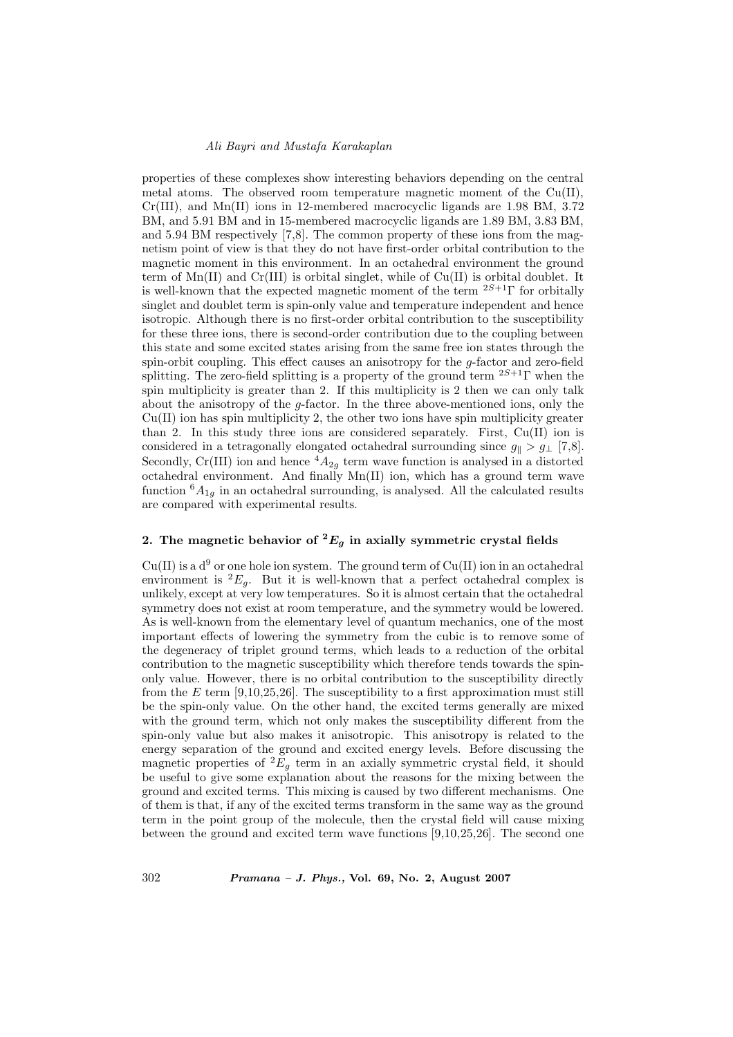#### *Ali Bayri and Mustafa Karakaplan*

properties of these complexes show interesting behaviors depending on the central metal atoms. The observed room temperature magnetic moment of the  $Cu(II)$ , Cr(III), and Mn(II) ions in 12-membered macrocyclic ligands are 1.98 BM, 3.72 BM, and 5.91 BM and in 15-membered macrocyclic ligands are 1.89 BM, 3.83 BM, and 5.94 BM respectively [7,8]. The common property of these ions from the magnetism point of view is that they do not have first-order orbital contribution to the magnetic moment in this environment. In an octahedral environment the ground term of  $Mn(II)$  and  $Cr(III)$  is orbital singlet, while of  $Cu(II)$  is orbital doublet. It is well-known that the expected magnetic moment of the term <sup>2</sup>*S*+1Γ for orbitally singlet and doublet term is spin-only value and temperature independent and hence isotropic. Although there is no first-order orbital contribution to the susceptibility for these three ions, there is second-order contribution due to the coupling between this state and some excited states arising from the same free ion states through the spin-orbit coupling. This effect causes an anisotropy for the g-factor and zero-field splitting. The zero-field splitting is a property of the ground term <sup>2</sup>*S*+1Γ when the spin multiplicity is greater than 2. If this multiplicity is 2 then we can only talk about the anisotropy of the  $q$ -factor. In the three above-mentioned ions, only the  $Cu(II)$  ion has spin multiplicity 2, the other two ions have spin multiplicity greater than 2. In this study three ions are considered separately. First,  $Cu(II)$  ion is considered in a tetragonally elongated octahedral surrounding since  $g_{\parallel} > g_{\perp}$  [7,8]. Secondly, Cr(III) ion and hence  ${}^4A_{2g}$  term wave function is analysed in a distorted octahedral environment. And finally Mn(II) ion, which has a ground term wave function  ${}^6A_{1g}$  in an octahedral surrounding, is analysed. All the calculated results are compared with experimental results.

### **2.** The magnetic behavior of  ${}^2E_g$  in axially symmetric crystal fields

 $Cu(II)$  is a  $d^9$  or one hole ion system. The ground term of  $Cu(II)$  ion in an octahedral environment is  ${}^{2}E_q$ . But it is well-known that a perfect octahedral complex is unlikely, except at very low temperatures. So it is almost certain that the octahedral symmetry does not exist at room temperature, and the symmetry would be lowered. As is well-known from the elementary level of quantum mechanics, one of the most important effects of lowering the symmetry from the cubic is to remove some of the degeneracy of triplet ground terms, which leads to a reduction of the orbital contribution to the magnetic susceptibility which therefore tends towards the spinonly value. However, there is no orbital contribution to the susceptibility directly from the  $E$  term [9,10,25,26]. The susceptibility to a first approximation must still be the spin-only value. On the other hand, the excited terms generally are mixed with the ground term, which not only makes the susceptibility different from the spin-only value but also makes it anisotropic. This anisotropy is related to the energy separation of the ground and excited energy levels. Before discussing the magnetic properties of  ${}^2E_g$  term in an axially symmetric crystal field, it should be useful to give some explanation about the reasons for the mixing between the ground and excited terms. This mixing is caused by two different mechanisms. One of them is that, if any of the excited terms transform in the same way as the ground term in the point group of the molecule, then the crystal field will cause mixing between the ground and excited term wave functions [9,10,25,26]. The second one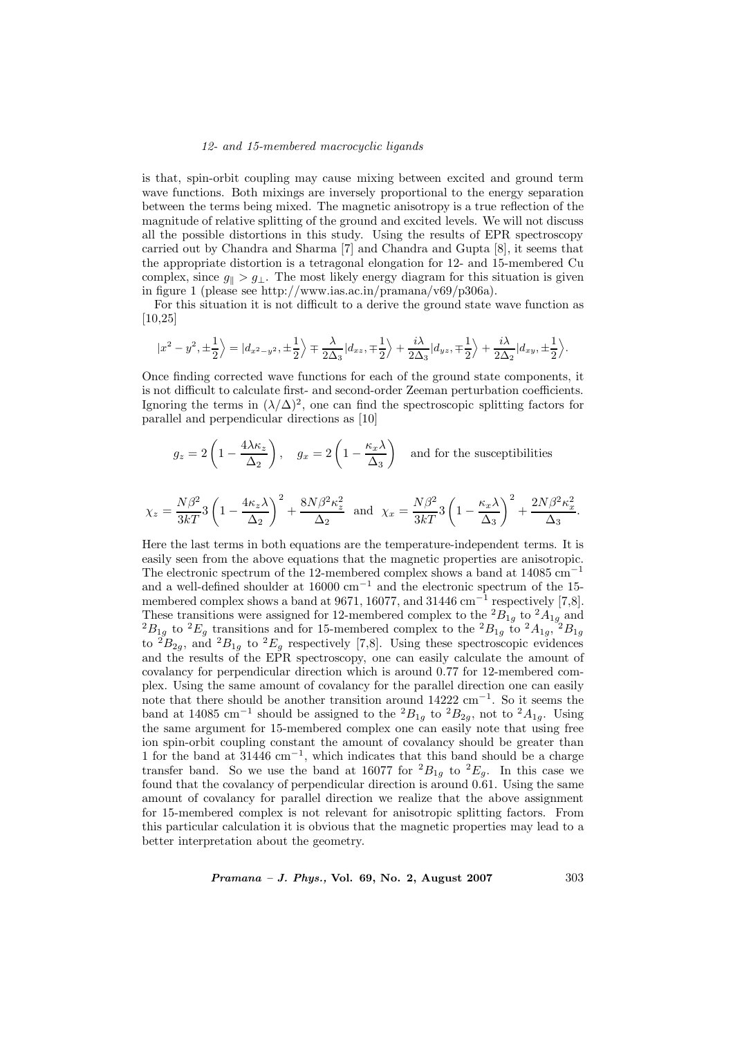#### *12- and 15-membered macrocyclic ligands*

is that, spin-orbit coupling may cause mixing between excited and ground term wave functions. Both mixings are inversely proportional to the energy separation between the terms being mixed. The magnetic anisotropy is a true reflection of the magnitude of relative splitting of the ground and excited levels. We will not discuss all the possible distortions in this study. Using the results of EPR spectroscopy carried out by Chandra and Sharma [7] and Chandra and Gupta [8], it seems that the appropriate distortion is a tetragonal elongation for 12- and 15-membered Cu complex, since  $g_{\parallel} > g_{\perp}$ . The most likely energy diagram for this situation is given in figure 1 (please see http://www.ias.ac.in/pramana/v69/p306a).

For this situation it is not difficult to a derive the ground state wave function as [10,25]

$$
|x^2-y^2,\pm\frac{1}{2}\Big\rangle=|d_{x^2-y^2},\pm\frac{1}{2}\Big\rangle\mp\frac{\lambda}{2\Delta_3}|d_{xz},\mp\frac{1}{2}\Big\rangle+\frac{i\lambda}{2\Delta_3}|d_{yz},\mp\frac{1}{2}\Big\rangle+\frac{i\lambda}{2\Delta_2}|d_{xy},\pm\frac{1}{2}\Big\rangle.
$$

Once finding corrected wave functions for each of the ground state components, it is not difficult to calculate first- and second-order Zeeman perturbation coefficients. Ignoring the terms in  $(\lambda/\Delta)^2$ , one can find the spectroscopic splitting factors for parallel and perpendicular directions as [10]

$$
g_z = 2\left(1 - \frac{4\lambda\kappa_z}{\Delta_2}\right)
$$
,  $g_x = 2\left(1 - \frac{\kappa_x\lambda}{\Delta_3}\right)$  and for the susceptibilities

$$
\chi_z = \frac{N\beta^2}{3k} \left(1 - \frac{4\kappa_z \lambda}{\Delta_2}\right)^2 + \frac{8N\beta^2 \kappa_z^2}{\Delta_2} \text{ and } \chi_x = \frac{N\beta^2}{3k} \left(1 - \frac{\kappa_x \lambda}{\Delta_3}\right)^2 + \frac{2N\beta^2 \kappa_x^2}{\Delta_3}.
$$

Here the last terms in both equations are the temperature-independent terms. It is easily seen from the above equations that the magnetic properties are anisotropic. The electronic spectrum of the 12-membered complex shows a band at 14085 cm−<sup>1</sup> and a well-defined shoulder at 16000  $cm^{-1}$  and the electronic spectrum of the 15membered complex shows a band at 9671, 16077, and 31446 cm<sup>-1</sup> respectively [7,8]. These transitions were assigned for 12-membered complex to the  ${}^2B_{1g}$  to  ${}^2A_{1g}$  and  ${}^2B_{1g}$  to  ${}^2E_g$  transitions and for 15-membered complex to the  ${}^2B_{1g}$  to  ${}^2A_{1g}$ ,  ${}^2B_{1g}$ <br>to  ${}^2B_{2g}$  and  ${}^2B$ to  ${}^{2}B_{2g}$ , and  ${}^{2}B_{1g}$  to  ${}^{2}E_{g}$  respectively [7,8]. Using these spectroscopic evidences and the results of the EPR spectroscopy, one can easily calculate the amount of covalancy for perpendicular direction which is around 0.77 for 12-membered complex. Using the same amount of covalancy for the parallel direction one can easily note that there should be another transition around 14222 cm−<sup>1</sup>. So it seems the band at 14085 cm<sup>-1</sup> should be assigned to the <sup>2</sup> $B_{1g}$  to <sup>2</sup> $B_{2g}$ , not to <sup>2</sup> $A_{1g}$ . Using the same argument for 15-membered complex one can easily note that using free ion spin-orbit coupling constant the amount of covalancy should be greater than 1 for the band at  $31446 \text{ cm}^{-1}$ , which indicates that this band should be a charge transfer band. So we use the band at 16077 for  ${}^{2}B_{1g}$  to  ${}^{2}E_{g}$ . In this case we found that the covalancy of perpendicular direction is around 0.61. Using the same amount of covalancy for parallel direction we realize that the above assignment for 15-membered complex is not relevant for anisotropic splitting factors. From this particular calculation it is obvious that the magnetic properties may lead to a better interpretation about the geometry.

*Pramana – J. Phys.,* **Vol. 69, No. 2, August 2007** 303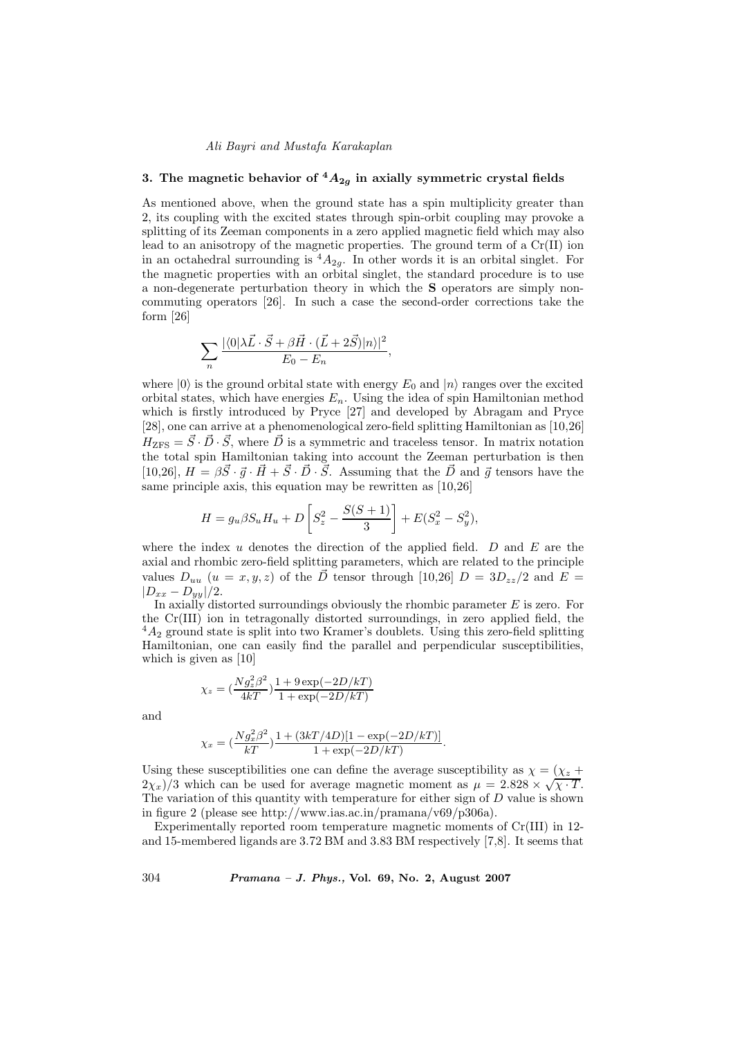#### *Ali Bayri and Mustafa Karakaplan*

# **3.** The magnetic behavior of  ${}^4A_{2q}$  in axially symmetric crystal fields

As mentioned above, when the ground state has a spin multiplicity greater than 2, its coupling with the excited states through spin-orbit coupling may provoke a splitting of its Zeeman components in a zero applied magnetic field which may also lead to an anisotropy of the magnetic properties. The ground term of a  $Cr(II)$  ion in an octahedral surrounding is  ${}^4A_{2g}$ . In other words it is an orbital singlet. For the magnetic properties with an orbital singlet, the standard procedure is to use a non-degenerate perturbation theory in which the **S** operators are simply noncommuting operators [26]. In such a case the second-order corrections take the form [26]

$$
\sum_{n} \frac{|\langle 0 | \lambda \vec{L} \cdot \vec{S} + \beta \vec{H} \cdot (\vec{L} + 2\vec{S}) | n \rangle|^2}{E_0 - E_n},
$$

where  $|0\rangle$  is the ground orbital state with energy  $E_0$  and  $|n\rangle$  ranges over the excited orbital states, which have energies <sup>E</sup>*n*. Using the idea of spin Hamiltonian method which is firstly introduced by Pryce [27] and developed by Abragam and Pryce [28], one can arrive at a phenomenological zero-field splitting Hamiltonian as [10,26]  $H_{\text{ZFS}} = S \cdot D \cdot S$ , where D is a symmetric and traceless tensor. In matrix notation the total spin Hamiltonian taking into account the Zeeman perturbation is then [10,26],  $H = \beta \vec{S} \cdot \vec{q} \cdot \vec{H} + \vec{S} \cdot \vec{D} \cdot \vec{S}$ . Assuming that the  $\vec{D}$  and  $\vec{q}$  tensors have the same principle axis, this equation may be rewritten as [10,26]

$$
H = g_u \beta S_u H_u + D \left[ S_z^2 - \frac{S(S+1)}{3} \right] + E(S_x^2 - S_y^2),
$$

where the index  $u$  denotes the direction of the applied field.  $D$  and  $E$  are the axial and rhombic zero-field splitting parameters, which are related to the principle values  $D_{uu}$   $(u = x, y, z)$  of the  $\overrightarrow{D}$  tensor through [10,26]  $D = 3D_{zz}/2$  and  $E =$  $|D_{xx} - D_{yy}|/2.$ 

In axially distorted surroundings obviously the rhombic parameter  $E$  is zero. For the Cr(III) ion in tetragonally distorted surroundings, in zero applied field, the  $^{4}A_{2}$  ground state is split into two Kramer's doublets. Using this zero-field splitting<br>Hamiltonian, one can easily find the parallel and perpendicular susceptibilities Hamiltonian, one can easily find the parallel and perpendicular susceptibilities, which is given as [10]

$$
\chi_z = \left(\frac{Ng_z^2 \beta^2}{4kT}\right) \frac{1 + 9 \exp(-2D/kT)}{1 + \exp(-2D/kT)}
$$

and

$$
\chi_x = \left(\frac{Ng_x^2 \beta^2}{kT}\right) \frac{1 + (3kT/4D)[1 - \exp(-2D/kT)]}{1 + \exp(-2D/kT)}.
$$

Using these susceptibilities one can define the average susceptibility as  $\chi = (\chi_z + \chi_z)$  $2\chi_x/3$  which can be used for average magnetic moment as  $\mu = 2.828 \times \sqrt{\chi \cdot T}$ . The variation of this quantity with temperature for either sign of  $D$  value is shown in figure 2 (please see http://www.ias.ac.in/pramana/v69/p306a).

Experimentally reported room temperature magnetic moments of Cr(III) in 12 and 15-membered ligands are 3.72 BM and 3.83 BM respectively [7,8]. It seems that

304 *Pramana – J. Phys.,* **Vol. 69, No. 2, August 2007**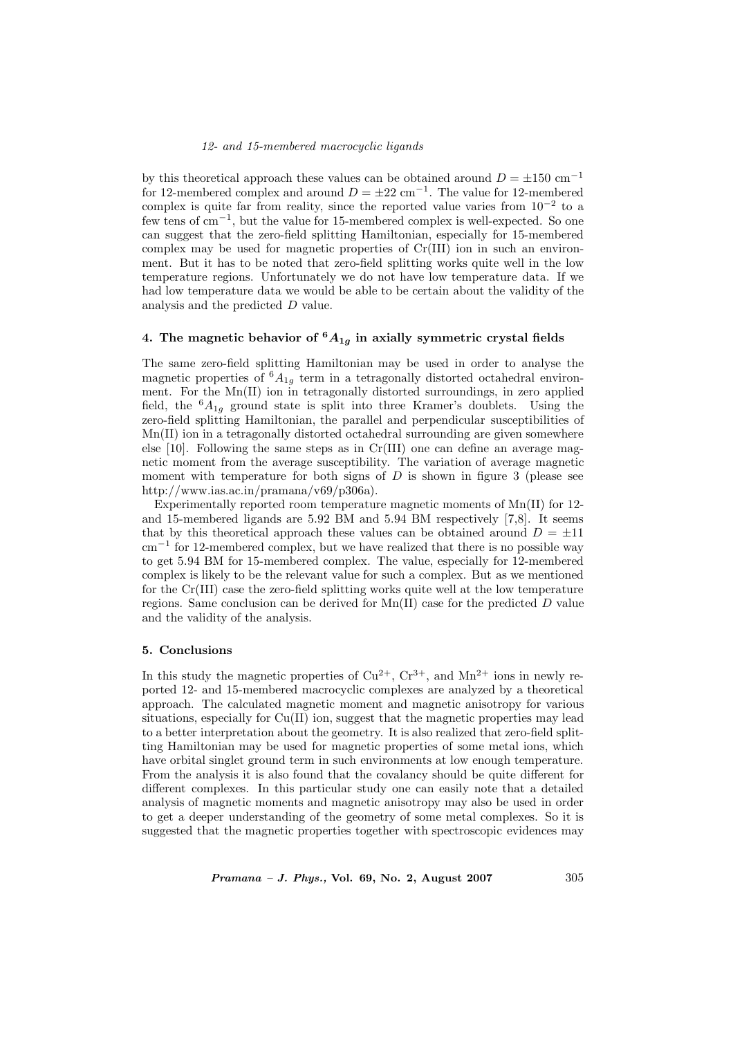by this theoretical approach these values can be obtained around  $D = \pm 150$  cm<sup>-1</sup> for 12-membered complex and around  $D = \pm 22$  cm<sup>-1</sup>. The value for 12-membered complex is quite far from reality, since the reported value varies from  $10^{-2}$  to a few tens of cm−1, but the value for 15-membered complex is well-expected. So one can suggest that the zero-field splitting Hamiltonian, especially for 15-membered complex may be used for magnetic properties of Cr(III) ion in such an environment. But it has to be noted that zero-field splitting works quite well in the low temperature regions. Unfortunately we do not have low temperature data. If we had low temperature data we would be able to be certain about the validity of the analysis and the predicted D value.

## 4. The magnetic behavior of  ${}^6A_{1g}$  in axially symmetric crystal fields

The same zero-field splitting Hamiltonian may be used in order to analyse the magnetic properties of  ${}^6A_{1g}$  term in a tetragonally distorted octahedral environment. For the Mn(II) ion in tetragonally distorted surroundings, in zero applied field, the  ${}^6A_{1g}$  ground state is split into three Kramer's doublets. Using the zero-field splitting Hamiltonian, the parallel and perpendicular susceptibilities of Mn(II) ion in a tetragonally distorted octahedral surrounding are given somewhere else  $[10]$ . Following the same steps as in  $Cr(III)$  one can define an average magnetic moment from the average susceptibility. The variation of average magnetic moment with temperature for both signs of  $D$  is shown in figure 3 (please see http://www.ias.ac.in/pramana/v69/p306a).

Experimentally reported room temperature magnetic moments of  $Mn(II)$  for 12and 15-membered ligands are 5.92 BM and 5.94 BM respectively [7,8]. It seems that by this theoretical approach these values can be obtained around  $D = \pm 11$  $\text{cm}^{-1}$  for 12-membered complex, but we have realized that there is no possible way to get 5.94 BM for 15-membered complex. The value, especially for 12-membered complex is likely to be the relevant value for such a complex. But as we mentioned for the Cr(III) case the zero-field splitting works quite well at the low temperature regions. Same conclusion can be derived for  $Mn(II)$  case for the predicted D value and the validity of the analysis.

#### **5. Conclusions**

In this study the magnetic properties of  $Cu^{2+}$ ,  $Cr^{3+}$ , and  $Mn^{2+}$  ions in newly reported 12- and 15-membered macrocyclic complexes are analyzed by a theoretical approach. The calculated magnetic moment and magnetic anisotropy for various situations, especially for Cu(II) ion, suggest that the magnetic properties may lead to a better interpretation about the geometry. It is also realized that zero-field splitting Hamiltonian may be used for magnetic properties of some metal ions, which have orbital singlet ground term in such environments at low enough temperature. From the analysis it is also found that the covalancy should be quite different for different complexes. In this particular study one can easily note that a detailed analysis of magnetic moments and magnetic anisotropy may also be used in order to get a deeper understanding of the geometry of some metal complexes. So it is suggested that the magnetic properties together with spectroscopic evidences may

*Pramana – J. Phys.,* **Vol. 69, No. 2, August 2007** 305